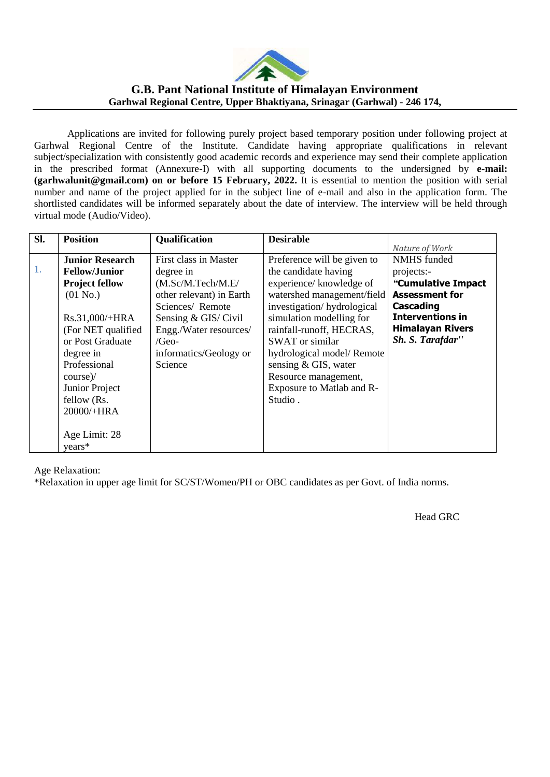

## **G.B. Pant National Institute of Himalayan Environment Garhwal Regional Centre, Upper Bhaktiyana, Srinagar (Garhwal) - 246 174,**

Applications are invited for following purely project based temporary position under following project at Garhwal Regional Centre of the Institute. Candidate having appropriate qualifications in relevant subject/specialization with consistently good academic records and experience may send their complete application in the prescribed format (Annexure-I) with all supporting documents to the undersigned by **e-mail: (garhwalunit@gmail.com) on or before 15 February, 2022.** It is essential to mention the position with serial number and name of the project applied for in the subject line of e-mail and also in the application form. The shortlisted candidates will be informed separately about the date of interview. The interview will be held through virtual mode (Audio/Video).

| SI. | <b>Position</b>        | Qualification<br><b>Desirable</b> |                             |                         |
|-----|------------------------|-----------------------------------|-----------------------------|-------------------------|
|     |                        |                                   |                             | Nature of Work          |
|     | <b>Junior Research</b> | First class in Master             | Preference will be given to | <b>NMHS</b> funded      |
| 1.  | <b>Fellow/Junior</b>   | degree in                         | the candidate having        | projects:-              |
|     | <b>Project fellow</b>  | (M.Sc/M.Tech/M.E/                 | experience/ knowledge of    | "Cumulative Impact      |
|     | $(01$ No.)             | other relevant) in Earth          | watershed management/field  | <b>Assessment for</b>   |
|     |                        | Sciences/Remote                   | investigation/hydrological  | Cascading               |
|     | $Rs.31,000/+HRA$       | Sensing & GIS/ Civil              | simulation modelling for    | <b>Interventions in</b> |
|     | (For NET qualified)    | Engg./Water resources/            | rainfall-runoff, HECRAS,    | <b>Himalayan Rivers</b> |
|     | or Post Graduate       | /Geo-                             | <b>SWAT</b> or similar      | Sh. S. Tarafdar"        |
|     | degree in              | informatics/Geology or            | hydrological model/Remote   |                         |
|     | Professional           | Science                           | sensing & GIS, water        |                         |
|     | $course$ /             |                                   | Resource management,        |                         |
|     | Junior Project         |                                   | Exposure to Matlab and R-   |                         |
|     | fellow (Rs.            |                                   | Studio.                     |                         |
|     | 20000/+HRA             |                                   |                             |                         |
|     |                        |                                   |                             |                         |
|     | Age Limit: 28          |                                   |                             |                         |
|     | $years*$               |                                   |                             |                         |

Age Relaxation:

\*Relaxation in upper age limit for SC/ST/Women/PH or OBC candidates as per Govt. of India norms.

Head GRC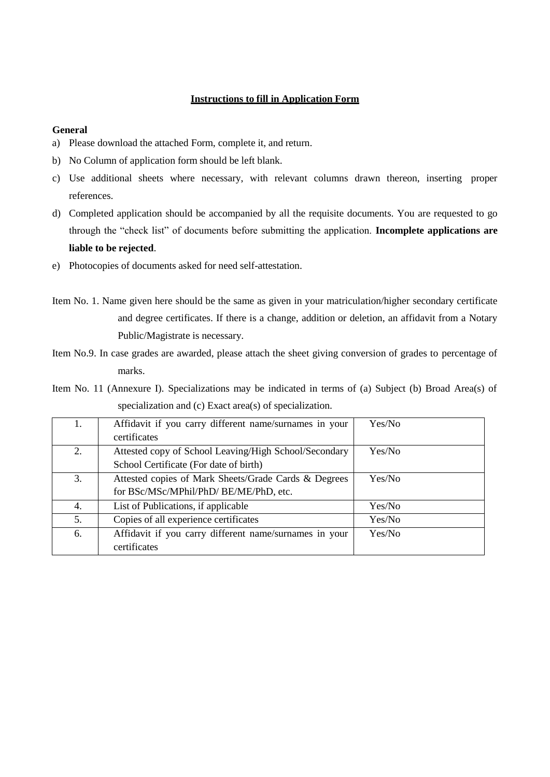### **Instructions to fill in Application Form**

#### **General**

- a) Please download the attached Form, complete it, and return.
- b) No Column of application form should be left blank.
- c) Use additional sheets where necessary, with relevant columns drawn thereon, inserting proper references.
- d) Completed application should be accompanied by all the requisite documents. You are requested to go through the "check list" of documents before submitting the application. **Incomplete applications are liable to be rejected**.
- e) Photocopies of documents asked for need self-attestation.
- Item No. 1. Name given here should be the same as given in your matriculation/higher secondary certificate and degree certificates. If there is a change, addition or deletion, an affidavit from a Notary Public/Magistrate is necessary.
- Item No.9. In case grades are awarded, please attach the sheet giving conversion of grades to percentage of marks.
- Item No. 11 (Annexure I). Specializations may be indicated in terms of (a) Subject (b) Broad Area(s) of specialization and (c) Exact area(s) of specialization.

| 1. | Affidavit if you carry different name/surnames in your | Yes/No |
|----|--------------------------------------------------------|--------|
|    | certificates                                           |        |
| 2. | Attested copy of School Leaving/High School/Secondary  | Yes/No |
|    | School Certificate (For date of birth)                 |        |
| 3. | Attested copies of Mark Sheets/Grade Cards & Degrees   | Yes/No |
|    | for BSc/MSc/MPhil/PhD/ BE/ME/PhD, etc.                 |        |
| 4. | List of Publications, if applicable                    | Yes/No |
| 5. | Copies of all experience certificates                  | Yes/No |
| 6. | Affidavit if you carry different name/surnames in your | Yes/No |
|    | certificates                                           |        |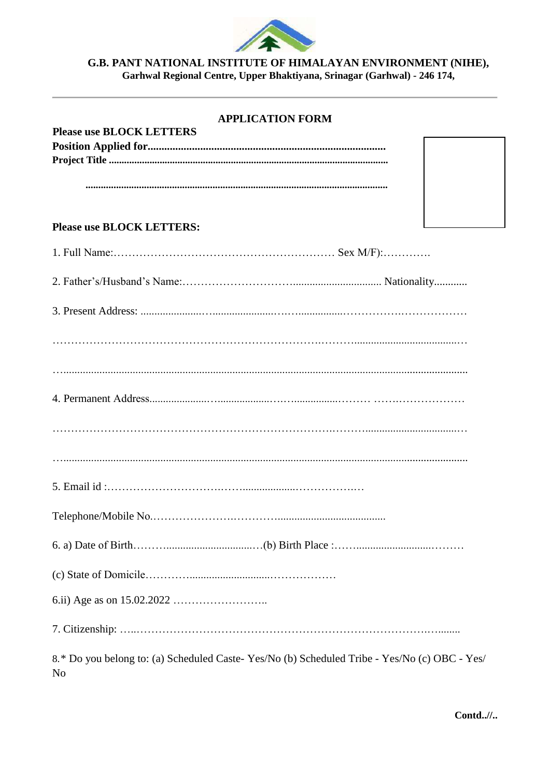

# G.B. PANT NATIONAL INSTITUTE OF HIMALAYAN ENVIRONMENT (NIHE),<br>Garhwal Regional Centre, Upper Bhaktiyana, Srinagar (Garhwal) - 246 174,

| <b>APPLICATION FORM</b>                                                                            |
|----------------------------------------------------------------------------------------------------|
| <b>Please use BLOCK LETTERS</b>                                                                    |
|                                                                                                    |
|                                                                                                    |
|                                                                                                    |
|                                                                                                    |
|                                                                                                    |
| <b>Please use BLOCK LETTERS:</b>                                                                   |
|                                                                                                    |
|                                                                                                    |
|                                                                                                    |
|                                                                                                    |
|                                                                                                    |
|                                                                                                    |
|                                                                                                    |
|                                                                                                    |
|                                                                                                    |
|                                                                                                    |
|                                                                                                    |
|                                                                                                    |
|                                                                                                    |
|                                                                                                    |
|                                                                                                    |
|                                                                                                    |
|                                                                                                    |
|                                                                                                    |
|                                                                                                    |
|                                                                                                    |
|                                                                                                    |
|                                                                                                    |
|                                                                                                    |
|                                                                                                    |
|                                                                                                    |
| 8.* Do you belong to: (a) Scheduled Caste-Yes/No (b) Scheduled Tribe - Yes/No (c) OBC - Yes/<br>No |

 $\mathbf{Contd.}$ //..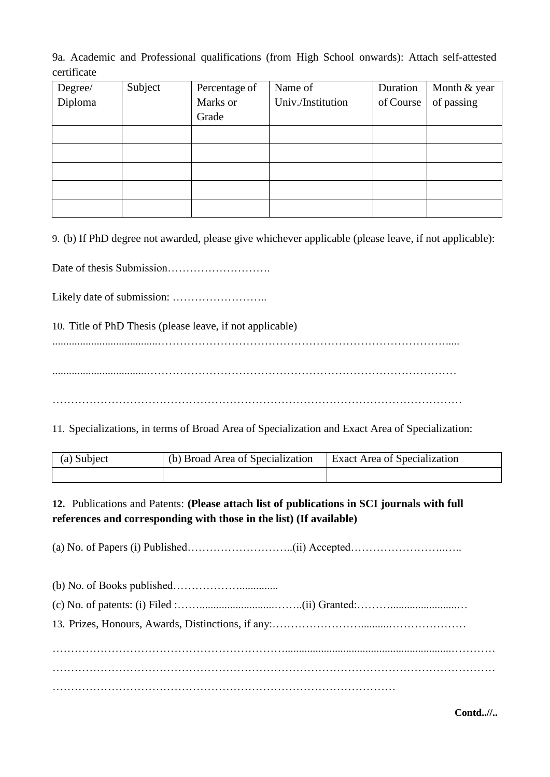9a. Academic and Professional qualifications (from High School onwards): Attach self-attested certificate

| Degree/ | Subject | Percentage of | Name of           | Duration  | Month & year |
|---------|---------|---------------|-------------------|-----------|--------------|
| Diploma |         | Marks or      | Univ./Institution | of Course | of passing   |
|         |         | Grade         |                   |           |              |
|         |         |               |                   |           |              |
|         |         |               |                   |           |              |
|         |         |               |                   |           |              |
|         |         |               |                   |           |              |
|         |         |               |                   |           |              |

9. (b) If PhD degree not awarded, please give whichever applicable (please leave, if not applicable):

Date of thesis Submission……………………….

Likely date of submission: ……………………..

10. Title of PhD Thesis (please leave, if not applicable)

......................................…………………………………………………………………….....

..................................…………………………………………………………………………

…………………………………………………………………………………………………

11. Specializations, in terms of Broad Area of Specialization and Exact Area of Specialization:

| (a) Subject | (b) Broad Area of Specialization | Exact Area of Specialization |  |
|-------------|----------------------------------|------------------------------|--|
|             |                                  |                              |  |

**12.** Publications and Patents: **(Please attach list of publications in SCI journals with full references and corresponding with those in the list) (If available)**

(a) No. of Papers (i) Published………………………..(ii) Accepted……………………..…..

**Contd..//..**